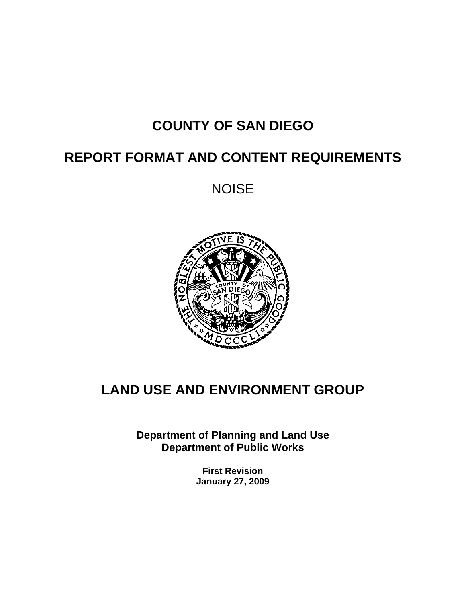# **COUNTY OF SAN DIEGO**

# **REPORT FORMAT AND CONTENT REQUIREMENTS**

NOISE



# **LAND USE AND ENVIRONMENT GROUP**

**Department of Planning and Land Use Department of Public Works** 

> **First Revision January 27, 2009**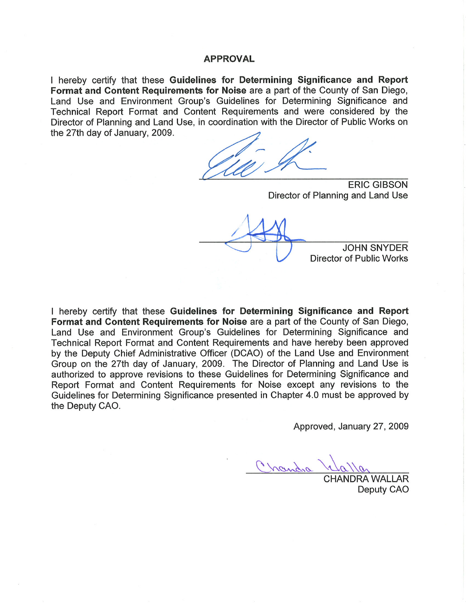#### **APPROVAL**

I hereby certify that these Guidelines for Determining Significance and Report Format and Content Requirements for Noise are a part of the County of San Diego, Land Use and Environment Group's Guidelines for Determining Significance and Technical Report Format and Content Requirements and were considered by the Director of Planning and Land Use, in coordination with the Director of Public Works on the 27th day of January, 2009.

**ERIC GIBSON** Director of Planning and Land Use

**JOHN SNYDER Director of Public Works** 

I hereby certify that these Guidelines for Determining Significance and Report Format and Content Requirements for Noise are a part of the County of San Diego, Land Use and Environment Group's Guidelines for Determining Significance and Technical Report Format and Content Requirements and have hereby been approved by the Deputy Chief Administrative Officer (DCAO) of the Land Use and Environment Group on the 27th day of January, 2009. The Director of Planning and Land Use is authorized to approve revisions to these Guidelines for Determining Significance and Report Format and Content Requirements for Noise except any revisions to the Guidelines for Determining Significance presented in Chapter 4.0 must be approved by the Deputy CAO.

Approved, January 27, 2009

Chandra

**HANDRA WALLAR** Deputy CAO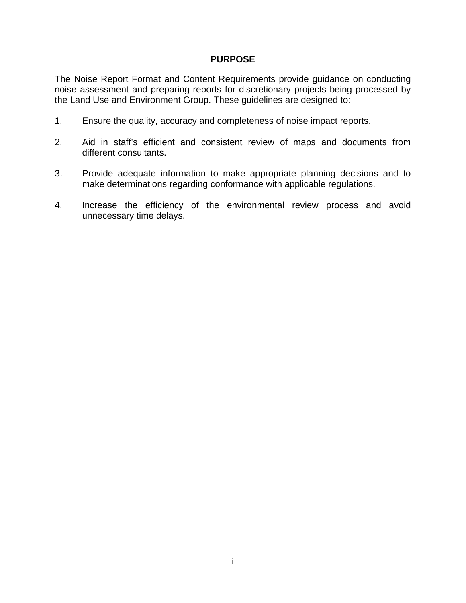#### **PURPOSE**

The Noise Report Format and Content Requirements provide guidance on conducting noise assessment and preparing reports for discretionary projects being processed by the Land Use and Environment Group. These guidelines are designed to:

- 1. Ensure the quality, accuracy and completeness of noise impact reports.
- 2. Aid in staff's efficient and consistent review of maps and documents from different consultants.
- 3. Provide adequate information to make appropriate planning decisions and to make determinations regarding conformance with applicable regulations.
- 4. Increase the efficiency of the environmental review process and avoid unnecessary time delays.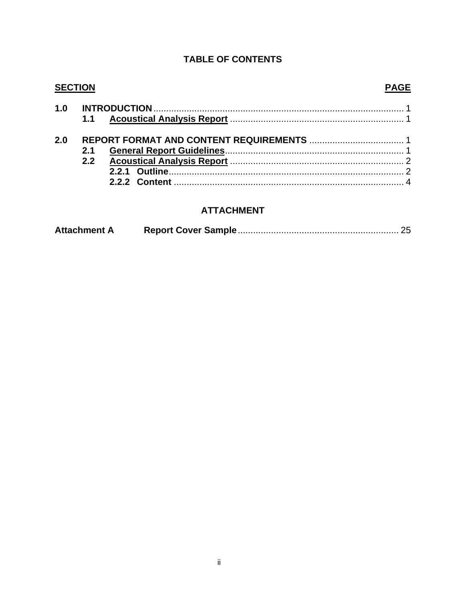#### **TABLE OF CONTENTS**

#### **SECTION PAGE**  $1.0$  $1.1$  $2.0$  $2.1$  $2.2$

#### **ATTACHMENT**

| <b>Attachment A</b> |  |  |
|---------------------|--|--|
|---------------------|--|--|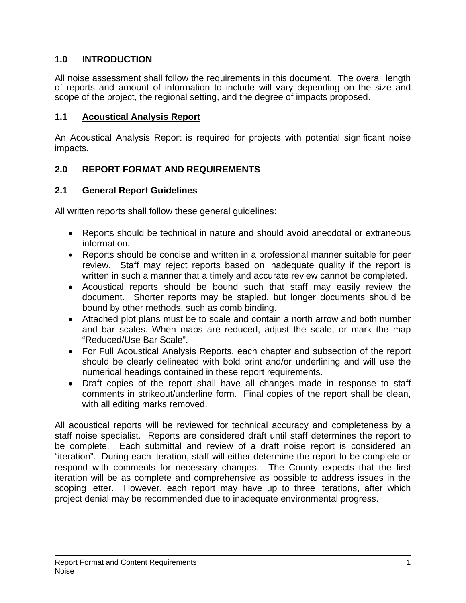# **1.0 INTRODUCTION**

All noise assessment shall follow the requirements in this document. The overall length of reports and amount of information to include will vary depending on the size and scope of the project, the regional setting, and the degree of impacts proposed.

# **1.1 Acoustical Analysis Report**

An Acoustical Analysis Report is required for projects with potential significant noise impacts.

# **2.0 REPORT FORMAT AND REQUIREMENTS**

# **2.1 General Report Guidelines**

All written reports shall follow these general guidelines:

- Reports should be technical in nature and should avoid anecdotal or extraneous information.
- Reports should be concise and written in a professional manner suitable for peer review. Staff may reject reports based on inadequate quality if the report is written in such a manner that a timely and accurate review cannot be completed.
- Acoustical reports should be bound such that staff may easily review the document. Shorter reports may be stapled, but longer documents should be bound by other methods, such as comb binding.
- Attached plot plans must be to scale and contain a north arrow and both number and bar scales. When maps are reduced, adjust the scale, or mark the map "Reduced/Use Bar Scale".
- For Full Acoustical Analysis Reports, each chapter and subsection of the report should be clearly delineated with bold print and/or underlining and will use the numerical headings contained in these report requirements.
- Draft copies of the report shall have all changes made in response to staff comments in strikeout/underline form. Final copies of the report shall be clean, with all editing marks removed.

All acoustical reports will be reviewed for technical accuracy and completeness by a staff noise specialist. Reports are considered draft until staff determines the report to be complete. Each submittal and review of a draft noise report is considered an "iteration". During each iteration, staff will either determine the report to be complete or respond with comments for necessary changes. The County expects that the first iteration will be as complete and comprehensive as possible to address issues in the scoping letter. However, each report may have up to three iterations, after which project denial may be recommended due to inadequate environmental progress.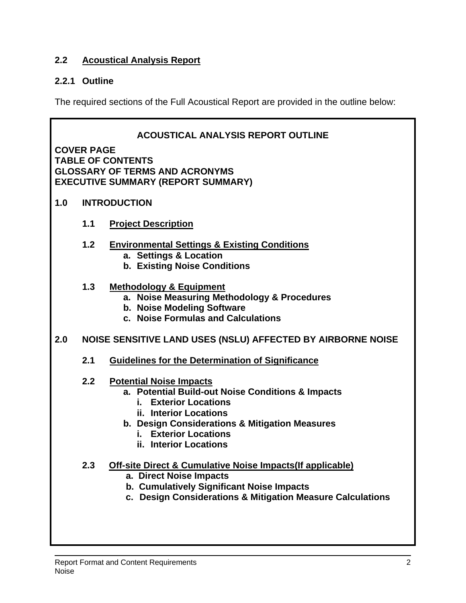# **2.2 Acoustical Analysis Report**

# **2.2.1 Outline**

The required sections of the Full Acoustical Report are provided in the outline below:

|     | <b>ACOUSTICAL ANALYSIS REPORT OUTLINE</b><br><b>COVER PAGE</b><br><b>TABLE OF CONTENTS</b><br><b>GLOSSARY OF TERMS AND ACRONYMS</b><br><b>EXECUTIVE SUMMARY (REPORT SUMMARY)</b> |                                                                                                                                                                                                                                                                   |  |  |  |  |
|-----|----------------------------------------------------------------------------------------------------------------------------------------------------------------------------------|-------------------------------------------------------------------------------------------------------------------------------------------------------------------------------------------------------------------------------------------------------------------|--|--|--|--|
| 1.0 |                                                                                                                                                                                  | <b>INTRODUCTION</b>                                                                                                                                                                                                                                               |  |  |  |  |
|     | 1.1                                                                                                                                                                              | <b>Project Description</b>                                                                                                                                                                                                                                        |  |  |  |  |
|     | 1.2                                                                                                                                                                              | <b>Environmental Settings &amp; Existing Conditions</b><br>a. Settings & Location<br><b>b. Existing Noise Conditions</b>                                                                                                                                          |  |  |  |  |
|     | 1.3                                                                                                                                                                              | <b>Methodology &amp; Equipment</b><br>a. Noise Measuring Methodology & Procedures<br>b. Noise Modeling Software<br>c. Noise Formulas and Calculations                                                                                                             |  |  |  |  |
| 2.0 |                                                                                                                                                                                  | NOISE SENSITIVE LAND USES (NSLU) AFFECTED BY AIRBORNE NOISE                                                                                                                                                                                                       |  |  |  |  |
|     | 2.1                                                                                                                                                                              | <b>Guidelines for the Determination of Significance</b>                                                                                                                                                                                                           |  |  |  |  |
|     | 2.2                                                                                                                                                                              | <b>Potential Noise Impacts</b><br>a. Potential Build-out Noise Conditions & Impacts<br><b>Exterior Locations</b><br>i. I<br>ii. Interior Locations<br>b. Design Considerations & Mitigation Measures<br><b>Exterior Locations</b><br>i.<br>ii. Interior Locations |  |  |  |  |
|     | 2.3                                                                                                                                                                              | <b>Off-site Direct &amp; Cumulative Noise Impacts (If applicable)</b><br>a. Direct Noise Impacts<br>b. Cumulatively Significant Noise Impacts<br>c. Design Considerations & Mitigation Measure Calculations                                                       |  |  |  |  |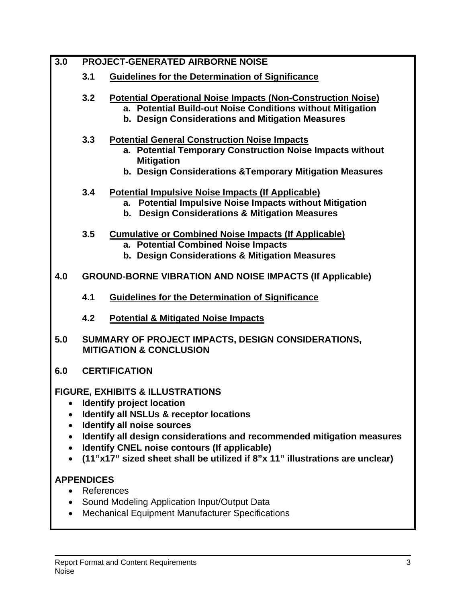| 3.0                                                                        |                   | <b>PROJECT-GENERATED AIRBORNE NOISE</b>                                                                                                                                                                                                                                                                                                                                       |
|----------------------------------------------------------------------------|-------------------|-------------------------------------------------------------------------------------------------------------------------------------------------------------------------------------------------------------------------------------------------------------------------------------------------------------------------------------------------------------------------------|
|                                                                            | 3.1               | <b>Guidelines for the Determination of Significance</b>                                                                                                                                                                                                                                                                                                                       |
|                                                                            | 3.2               | <b>Potential Operational Noise Impacts (Non-Construction Noise)</b><br>a. Potential Build-out Noise Conditions without Mitigation<br>b. Design Considerations and Mitigation Measures                                                                                                                                                                                         |
|                                                                            | 3.3               | <b>Potential General Construction Noise Impacts</b><br>a. Potential Temporary Construction Noise Impacts without<br><b>Mitigation</b><br>b. Design Considerations & Temporary Mitigation Measures                                                                                                                                                                             |
|                                                                            | 3.4               | <b>Potential Impulsive Noise Impacts (If Applicable)</b><br>a. Potential Impulsive Noise Impacts without Mitigation<br><b>Design Considerations &amp; Mitigation Measures</b><br>b.                                                                                                                                                                                           |
|                                                                            | 3.5               | <b>Cumulative or Combined Noise Impacts (If Applicable)</b><br>a. Potential Combined Noise Impacts<br>b. Design Considerations & Mitigation Measures                                                                                                                                                                                                                          |
| 4.0                                                                        |                   | <b>GROUND-BORNE VIBRATION AND NOISE IMPACTS (If Applicable)</b>                                                                                                                                                                                                                                                                                                               |
|                                                                            | 4.1               | <b>Guidelines for the Determination of Significance</b>                                                                                                                                                                                                                                                                                                                       |
|                                                                            | 4.2               | <b>Potential &amp; Mitigated Noise Impacts</b>                                                                                                                                                                                                                                                                                                                                |
| 5.0                                                                        |                   | SUMMARY OF PROJECT IMPACTS, DESIGN CONSIDERATIONS,<br><b>MITIGATION &amp; CONCLUSION</b>                                                                                                                                                                                                                                                                                      |
| 6.0                                                                        |                   | <b>CERTIFICATION</b>                                                                                                                                                                                                                                                                                                                                                          |
| $\bullet$<br>$\bullet$<br>$\bullet$<br>$\bullet$<br>$\bullet$<br>$\bullet$ |                   | <b>FIGURE, EXHIBITS &amp; ILLUSTRATIONS</b><br><b>Identify project location</b><br><b>Identify all NSLUs &amp; receptor locations</b><br>Identify all noise sources<br>Identify all design considerations and recommended mitigation measures<br>Identify CNEL noise contours (If applicable)<br>(11"x17" sized sheet shall be utilized if 8"x 11" illustrations are unclear) |
|                                                                            | <b>APPENDICES</b> |                                                                                                                                                                                                                                                                                                                                                                               |
| $\bullet$<br>$\bullet$                                                     | References        | Sound Modeling Application Input/Output Data<br><b>Mechanical Equipment Manufacturer Specifications</b>                                                                                                                                                                                                                                                                       |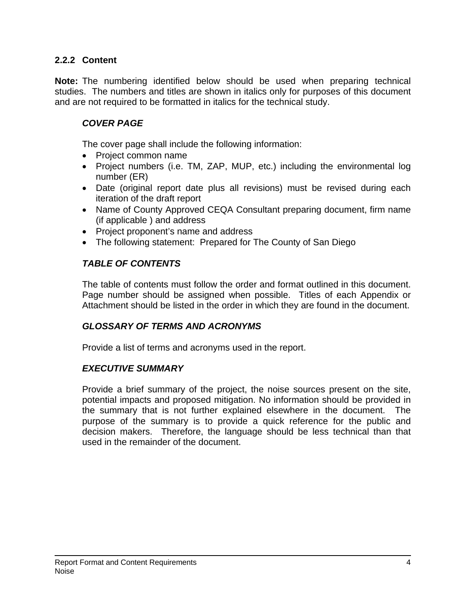# **2.2.2 Content**

**Note:** The numbering identified below should be used when preparing technical studies. The numbers and titles are shown in italics only for purposes of this document and are not required to be formatted in italics for the technical study.

# *COVER PAGE*

The cover page shall include the following information:

- Project common name
- Project numbers (i.e. TM, ZAP, MUP, etc.) including the environmental log number (ER)
- Date (original report date plus all revisions) must be revised during each iteration of the draft report
- Name of County Approved CEQA Consultant preparing document, firm name (if applicable ) and address
- Project proponent's name and address
- The following statement: Prepared for The County of San Diego

# *TABLE OF CONTENTS*

The table of contents must follow the order and format outlined in this document. Page number should be assigned when possible. Titles of each Appendix or Attachment should be listed in the order in which they are found in the document.

### *GLOSSARY OF TERMS AND ACRONYMS*

Provide a list of terms and acronyms used in the report.

### *EXECUTIVE SUMMARY*

Provide a brief summary of the project, the noise sources present on the site, potential impacts and proposed mitigation. No information should be provided in the summary that is not further explained elsewhere in the document. The purpose of the summary is to provide a quick reference for the public and decision makers. Therefore, the language should be less technical than that used in the remainder of the document.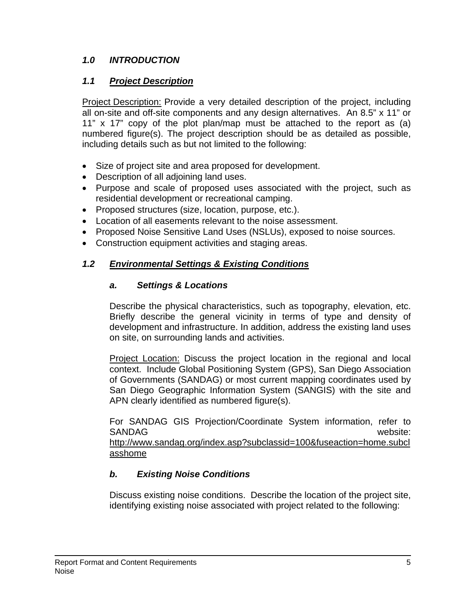# *1.0 INTRODUCTION*

# *1.1 Project Description*

Project Description: Provide a very detailed description of the project, including all on-site and off-site components and any design alternatives. An 8.5" x 11" or 11" x 17" copy of the plot plan/map must be attached to the report as (a) numbered figure(s). The project description should be as detailed as possible, including details such as but not limited to the following:

- Size of project site and area proposed for development.
- Description of all adjoining land uses.
- Purpose and scale of proposed uses associated with the project, such as residential development or recreational camping.
- Proposed structures (size, location, purpose, etc.).
- Location of all easements relevant to the noise assessment.
- Proposed Noise Sensitive Land Uses (NSLUs), exposed to noise sources.
- Construction equipment activities and staging areas.

# *1.2 Environmental Settings & Existing Conditions*

### *a. Settings & Locations*

Describe the physical characteristics, such as topography, elevation, etc. Briefly describe the general vicinity in terms of type and density of development and infrastructure. In addition, address the existing land uses on site, on surrounding lands and activities.

Project Location: Discuss the project location in the regional and local context. Include Global Positioning System (GPS), San Diego Association of Governments (SANDAG) or most current mapping coordinates used by San Diego Geographic Information System (SANGIS) with the site and APN clearly identified as numbered figure(s).

For SANDAG GIS Projection/Coordinate System information, refer to SANDAG website: http://www.sandag.org/index.asp?subclassid=100&fuseaction=home.subcl asshome

# *b. Existing Noise Conditions*

Discuss existing noise conditions. Describe the location of the project site, identifying existing noise associated with project related to the following: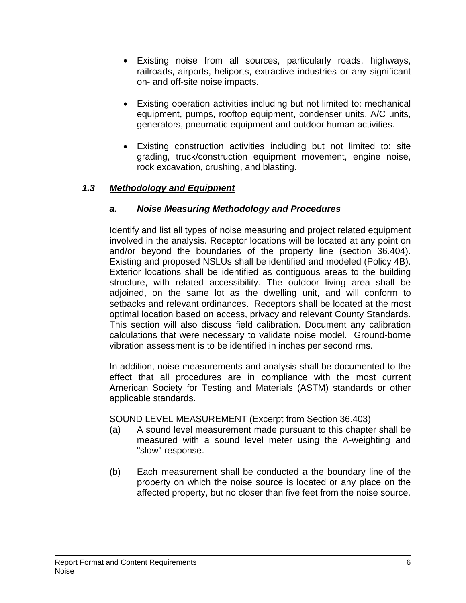- Existing noise from all sources, particularly roads, highways, railroads, airports, heliports, extractive industries or any significant on- and off-site noise impacts.
- Existing operation activities including but not limited to: mechanical equipment, pumps, rooftop equipment, condenser units, A/C units, generators, pneumatic equipment and outdoor human activities.
- Existing construction activities including but not limited to: site grading, truck/construction equipment movement, engine noise, rock excavation, crushing, and blasting.

# *1.3 Methodology and Equipment*

# *a. Noise Measuring Methodology and Procedures*

Identify and list all types of noise measuring and project related equipment involved in the analysis. Receptor locations will be located at any point on and/or beyond the boundaries of the property line (section 36.404). Existing and proposed NSLUs shall be identified and modeled (Policy 4B). Exterior locations shall be identified as contiguous areas to the building structure, with related accessibility. The outdoor living area shall be adjoined, on the same lot as the dwelling unit, and will conform to setbacks and relevant ordinances. Receptors shall be located at the most optimal location based on access, privacy and relevant County Standards. This section will also discuss field calibration. Document any calibration calculations that were necessary to validate noise model. Ground-borne vibration assessment is to be identified in inches per second rms.

In addition, noise measurements and analysis shall be documented to the effect that all procedures are in compliance with the most current American Society for Testing and Materials (ASTM) standards or other applicable standards.

SOUND LEVEL MEASUREMENT (Excerpt from Section 36.403)

- (a) A sound level measurement made pursuant to this chapter shall be measured with a sound level meter using the A-weighting and "slow" response.
- (b) Each measurement shall be conducted a the boundary line of the property on which the noise source is located or any place on the affected property, but no closer than five feet from the noise source.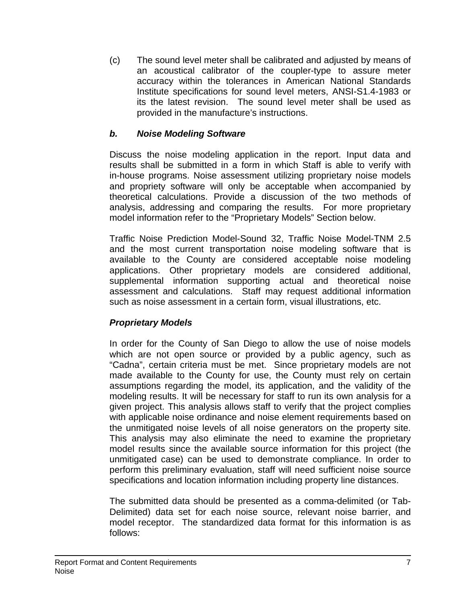(c) The sound level meter shall be calibrated and adjusted by means of an acoustical calibrator of the coupler-type to assure meter accuracy within the tolerances in American National Standards Institute specifications for sound level meters, ANSI-S1.4-1983 or its the latest revision. The sound level meter shall be used as provided in the manufacture's instructions.

# *b. Noise Modeling Software*

Discuss the noise modeling application in the report. Input data and results shall be submitted in a form in which Staff is able to verify with in-house programs. Noise assessment utilizing proprietary noise models and propriety software will only be acceptable when accompanied by theoretical calculations. Provide a discussion of the two methods of analysis, addressing and comparing the results. For more proprietary model information refer to the "Proprietary Models" Section below.

Traffic Noise Prediction Model-Sound 32, Traffic Noise Model-TNM 2.5 and the most current transportation noise modeling software that is available to the County are considered acceptable noise modeling applications. Other proprietary models are considered additional, supplemental information supporting actual and theoretical noise assessment and calculations. Staff may request additional information such as noise assessment in a certain form, visual illustrations, etc.

# *Proprietary Models*

In order for the County of San Diego to allow the use of noise models which are not open source or provided by a public agency, such as "Cadna", certain criteria must be met. Since proprietary models are not made available to the County for use, the County must rely on certain assumptions regarding the model, its application, and the validity of the modeling results. It will be necessary for staff to run its own analysis for a given project. This analysis allows staff to verify that the project complies with applicable noise ordinance and noise element requirements based on the unmitigated noise levels of all noise generators on the property site. This analysis may also eliminate the need to examine the proprietary model results since the available source information for this project (the unmitigated case) can be used to demonstrate compliance. In order to perform this preliminary evaluation, staff will need sufficient noise source specifications and location information including property line distances.

The submitted data should be presented as a comma-delimited (or Tab-Delimited) data set for each noise source, relevant noise barrier, and model receptor. The standardized data format for this information is as follows: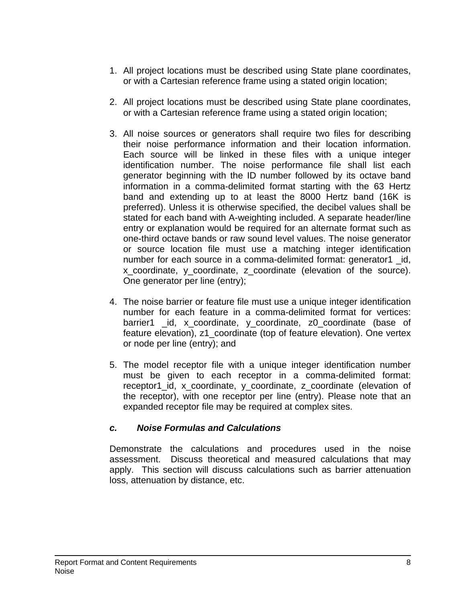- 1. All project locations must be described using State plane coordinates, or with a Cartesian reference frame using a stated origin location;
- 2. All project locations must be described using State plane coordinates, or with a Cartesian reference frame using a stated origin location;
- 3. All noise sources or generators shall require two files for describing their noise performance information and their location information. Each source will be linked in these files with a unique integer identification number. The noise performance file shall list each generator beginning with the ID number followed by its octave band information in a comma-delimited format starting with the 63 Hertz band and extending up to at least the 8000 Hertz band (16K is preferred). Unless it is otherwise specified, the decibel values shall be stated for each band with A-weighting included. A separate header/line entry or explanation would be required for an alternate format such as one-third octave bands or raw sound level values. The noise generator or source location file must use a matching integer identification number for each source in a comma-delimited format: generator1 \_id, x coordinate, y coordinate, z coordinate (elevation of the source). One generator per line (entry);
- 4. The noise barrier or feature file must use a unique integer identification number for each feature in a comma-delimited format for vertices: barrier1 id, x coordinate, y coordinate, z0 coordinate (base of feature elevation), z1\_coordinate (top of feature elevation). One vertex or node per line (entry); and
- 5. The model receptor file with a unique integer identification number must be given to each receptor in a comma-delimited format: receptor1 id, x coordinate, y coordinate, z coordinate (elevation of the receptor), with one receptor per line (entry). Please note that an expanded receptor file may be required at complex sites.

# *c. Noise Formulas and Calculations*

Demonstrate the calculations and procedures used in the noise assessment. Discuss theoretical and measured calculations that may apply. This section will discuss calculations such as barrier attenuation loss, attenuation by distance, etc.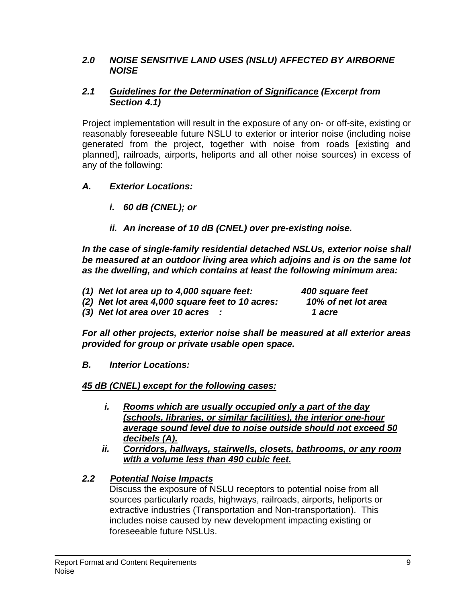### *2.0 NOISE SENSITIVE LAND USES (NSLU) AFFECTED BY AIRBORNE NOISE*

### *2.1 Guidelines for the Determination of Significance (Excerpt from Section 4.1)*

Project implementation will result in the exposure of any on- or off-site, existing or reasonably foreseeable future NSLU to exterior or interior noise (including noise generated from the project, together with noise from roads [existing and planned], railroads, airports, heliports and all other noise sources) in excess of any of the following:

# *A. Exterior Locations:*

- *i. 60 dB (CNEL); or*
- *ii. An increase of 10 dB (CNEL) over pre-existing noise.*

*In the case of single-family residential detached NSLUs, exterior noise shall be measured at an outdoor living area which adjoins and is on the same lot as the dwelling, and which contains at least the following minimum area:* 

*(1) Net lot area up to 4,000 square feet: 400 square feet (2) Net lot area 4,000 square feet to 10 acres: 10% of net lot area* 

*(3) Net lot area over 10 acres : 1 acre* 

*For all other projects, exterior noise shall be measured at all exterior areas provided for group or private usable open space.* 

*B. Interior Locations:* 

# *45 dB (CNEL) except for the following cases:*

- *i. Rooms which are usually occupied only a part of the day (schools, libraries, or similar facilities), the interior one-hour average sound level due to noise outside should not exceed 50 decibels (A).*
- *ii. Corridors, hallways, stairwells, closets, bathrooms, or any room with a volume less than 490 cubic feet.*

# *2.2 Potential Noise Impacts*

Discuss the exposure of NSLU receptors to potential noise from all sources particularly roads, highways, railroads, airports, heliports or extractive industries (Transportation and Non-transportation). This includes noise caused by new development impacting existing or foreseeable future NSLUs.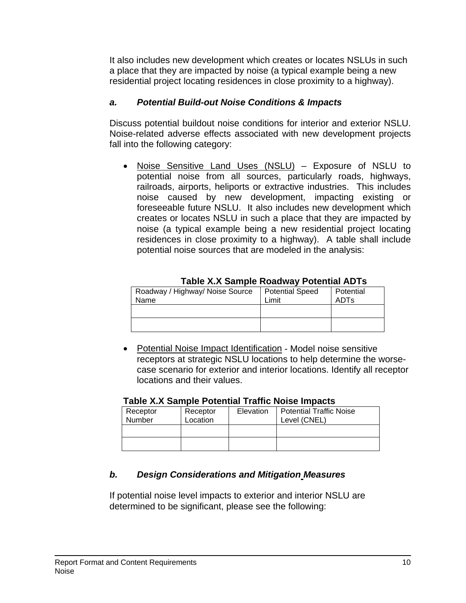It also includes new development which creates or locates NSLUs in such a place that they are impacted by noise (a typical example being a new residential project locating residences in close proximity to a highway).

# *a. Potential Build-out Noise Conditions & Impacts*

Discuss potential buildout noise conditions for interior and exterior NSLU. Noise-related adverse effects associated with new development projects fall into the following category:

• Noise Sensitive Land Uses (NSLU) – Exposure of NSLU to potential noise from all sources, particularly roads, highways, railroads, airports, heliports or extractive industries. This includes noise caused by new development, impacting existing or foreseeable future NSLU. It also includes new development which creates or locates NSLU in such a place that they are impacted by noise (a typical example being a new residential project locating residences in close proximity to a highway). A table shall include potential noise sources that are modeled in the analysis:

| Roadway / Highway/ Noise Source<br>Name | <b>Potential Speed</b><br>Limit | Potential<br>ADTs |  |  |  |  |
|-----------------------------------------|---------------------------------|-------------------|--|--|--|--|
|                                         |                                 |                   |  |  |  |  |
|                                         |                                 |                   |  |  |  |  |

**Table X.X Sample Roadway Potential ADTs** 

• Potential Noise Impact Identification - Model noise sensitive receptors at strategic NSLU locations to help determine the worsecase scenario for exterior and interior locations. Identify all receptor locations and their values.

| Table X.X Sample Potential Traffic Noise Impacts |          |           |                                |  |  |  |
|--------------------------------------------------|----------|-----------|--------------------------------|--|--|--|
| Receptor                                         | Receptor | Elevation | <b>Potential Traffic Noise</b> |  |  |  |
| Number                                           | Location |           | Level (CNEL)                   |  |  |  |
|                                                  |          |           |                                |  |  |  |
|                                                  |          |           |                                |  |  |  |
|                                                  |          |           |                                |  |  |  |

# **Table X.X Sample Potential Traffic Noise Impacts**

# *b. Design Considerations and Mitigation Measures*

If potential noise level impacts to exterior and interior NSLU are determined to be significant, please see the following: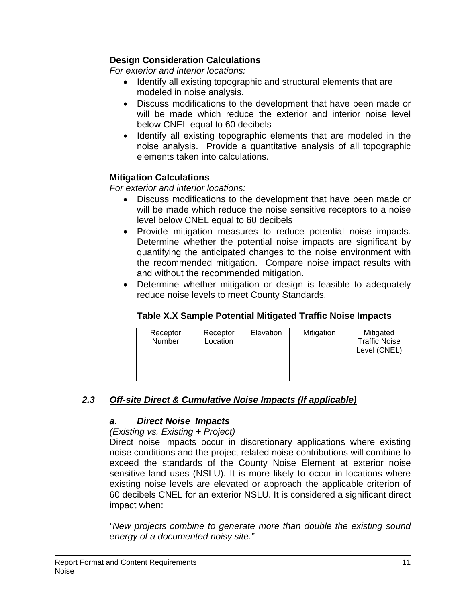# **Design Consideration Calculations**

*For exterior and interior locations:* 

- Identify all existing topographic and structural elements that are modeled in noise analysis.
- Discuss modifications to the development that have been made or will be made which reduce the exterior and interior noise level below CNEL equal to 60 decibels
- Identify all existing topographic elements that are modeled in the noise analysis. Provide a quantitative analysis of all topographic elements taken into calculations.

# **Mitigation Calculations**

*For exterior and interior locations:* 

- Discuss modifications to the development that have been made or will be made which reduce the noise sensitive receptors to a noise level below CNEL equal to 60 decibels
- Provide mitigation measures to reduce potential noise impacts. Determine whether the potential noise impacts are significant by quantifying the anticipated changes to the noise environment with the recommended mitigation. Compare noise impact results with and without the recommended mitigation.
- Determine whether mitigation or design is feasible to adequately reduce noise levels to meet County Standards.

# **Table X.X Sample Potential Mitigated Traffic Noise Impacts**

| Receptor<br>Number | Receptor<br>Location | Elevation | Mitigation | Mitigated<br><b>Traffic Noise</b><br>Level (CNEL) |
|--------------------|----------------------|-----------|------------|---------------------------------------------------|
|                    |                      |           |            |                                                   |
|                    |                      |           |            |                                                   |

# *2.3 Off-site Direct & Cumulative Noise Impacts (If applicable)*

### *a. Direct Noise Impacts*

### *(Existing vs. Existing + Project)*

Direct noise impacts occur in discretionary applications where existing noise conditions and the project related noise contributions will combine to exceed the standards of the County Noise Element at exterior noise sensitive land uses (NSLU). It is more likely to occur in locations where existing noise levels are elevated or approach the applicable criterion of 60 decibels CNEL for an exterior NSLU. It is considered a significant direct impact when:

*"New projects combine to generate more than double the existing sound energy of a documented noisy site."*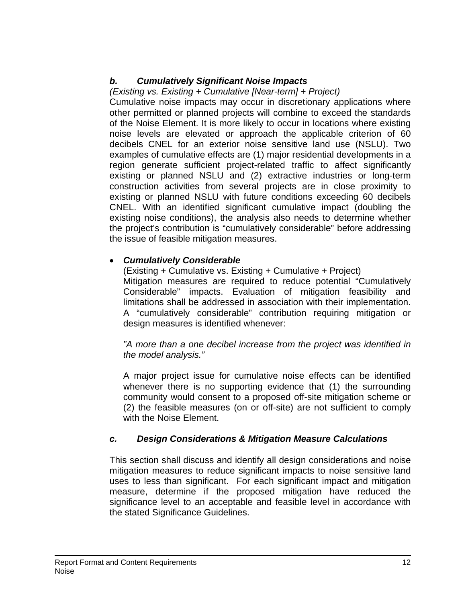# *b. Cumulatively Significant Noise Impacts*

# *(Existing vs. Existing + Cumulative [Near-term] + Project)*

Cumulative noise impacts may occur in discretionary applications where other permitted or planned projects will combine to exceed the standards of the Noise Element. It is more likely to occur in locations where existing noise levels are elevated or approach the applicable criterion of 60 decibels CNEL for an exterior noise sensitive land use (NSLU). Two examples of cumulative effects are (1) major residential developments in a region generate sufficient project-related traffic to affect significantly existing or planned NSLU and (2) extractive industries or long-term construction activities from several projects are in close proximity to existing or planned NSLU with future conditions exceeding 60 decibels CNEL. With an identified significant cumulative impact (doubling the existing noise conditions), the analysis also needs to determine whether the project's contribution is "cumulatively considerable" before addressing the issue of feasible mitigation measures.

# • *Cumulatively Considerable*

(Existing + Cumulative vs. Existing + Cumulative + Project) Mitigation measures are required to reduce potential "Cumulatively Considerable" impacts. Evaluation of mitigation feasibility and limitations shall be addressed in association with their implementation. A "cumulatively considerable" contribution requiring mitigation or design measures is identified whenever:

*"A more than a one decibel increase from the project was identified in the model analysis."* 

A major project issue for cumulative noise effects can be identified whenever there is no supporting evidence that (1) the surrounding community would consent to a proposed off-site mitigation scheme or (2) the feasible measures (on or off-site) are not sufficient to comply with the Noise Element.

# *c. Design Considerations & Mitigation Measure Calculations*

This section shall discuss and identify all design considerations and noise mitigation measures to reduce significant impacts to noise sensitive land uses to less than significant. For each significant impact and mitigation measure, determine if the proposed mitigation have reduced the significance level to an acceptable and feasible level in accordance with the stated Significance Guidelines.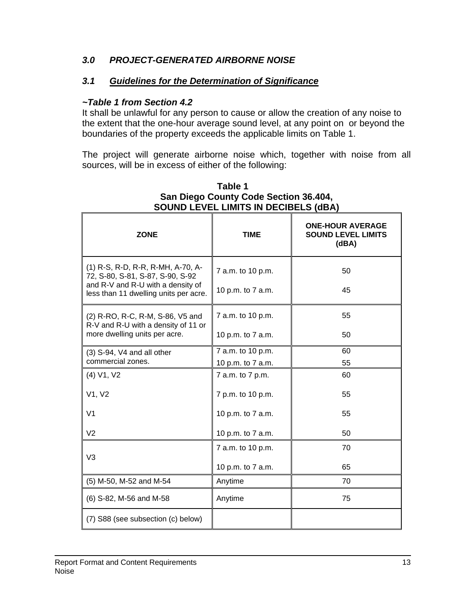# *3.0 PROJECT-GENERATED AIRBORNE NOISE*

# *3.1 Guidelines for the Determination of Significance*

### *~Table 1 from Section 4.2*

It shall be unlawful for any person to cause or allow the creation of any noise to the extent that the one-hour average sound level, at any point on or beyond the boundaries of the property exceeds the applicable limits on Table 1.

The project will generate airborne noise which, together with noise from all sources, will be in excess of either of the following:

| <b>ZONE</b>                                                                | <b>TIME</b>       | <b>ONE-HOUR AVERAGE</b><br><b>SOUND LEVEL LIMITS</b><br>(dBA) |
|----------------------------------------------------------------------------|-------------------|---------------------------------------------------------------|
| (1) R-S, R-D, R-R, R-MH, A-70, A-<br>72, S-80, S-81, S-87, S-90, S-92      | 7 a.m. to 10 p.m. | 50                                                            |
| and R-V and R-U with a density of<br>less than 11 dwelling units per acre. | 10 p.m. to 7 a.m. | 45                                                            |
| (2) R-RO, R-C, R-M, S-86, V5 and<br>R-V and R-U with a density of 11 or    | 7 a.m. to 10 p.m. | 55                                                            |
| more dwelling units per acre.                                              | 10 p.m. to 7 a.m. | 50                                                            |
| (3) S-94, V4 and all other                                                 | 7 a.m. to 10 p.m. | 60                                                            |
| commercial zones.                                                          | 10 p.m. to 7 a.m. | 55                                                            |
| (4) V1, V2                                                                 | 7 a.m. to 7 p.m.  | 60                                                            |
| V1, V2                                                                     | 7 p.m. to 10 p.m. | 55                                                            |
| V <sub>1</sub>                                                             | 10 p.m. to 7 a.m. | 55                                                            |
| V <sub>2</sub>                                                             | 10 p.m. to 7 a.m. | 50                                                            |
| V <sub>3</sub>                                                             | 7 a.m. to 10 p.m. | 70                                                            |
|                                                                            | 10 p.m. to 7 a.m. | 65                                                            |
| (5) M-50, M-52 and M-54                                                    | Anytime           | 70                                                            |
| (6) S-82, M-56 and M-58                                                    | Anytime           | 75                                                            |
| (7) S88 (see subsection (c) below)                                         |                   |                                                               |

#### **Table 1 San Diego County Code Section 36.404, SOUND LEVEL LIMITS IN DECIBELS (dBA)**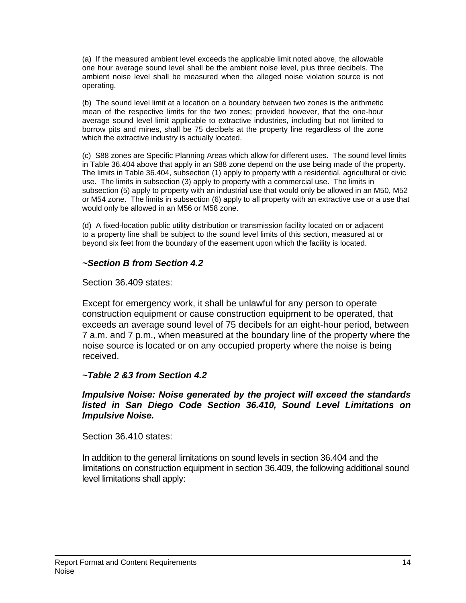(a) If the measured ambient level exceeds the applicable limit noted above, the allowable one hour average sound level shall be the ambient noise level, plus three decibels. The ambient noise level shall be measured when the alleged noise violation source is not operating.

(b) The sound level limit at a location on a boundary between two zones is the arithmetic mean of the respective limits for the two zones; provided however, that the one-hour average sound level limit applicable to extractive industries, including but not limited to borrow pits and mines, shall be 75 decibels at the property line regardless of the zone which the extractive industry is actually located.

(c) S88 zones are Specific Planning Areas which allow for different uses. The sound level limits in Table 36.404 above that apply in an S88 zone depend on the use being made of the property. The limits in Table 36.404, subsection (1) apply to property with a residential, agricultural or civic use. The limits in subsection (3) apply to property with a commercial use. The limits in subsection (5) apply to property with an industrial use that would only be allowed in an M50, M52 or M54 zone. The limits in subsection (6) apply to all property with an extractive use or a use that would only be allowed in an M56 or M58 zone.

(d) A fixed-location public utility distribution or transmission facility located on or adjacent to a property line shall be subject to the sound level limits of this section, measured at or beyond six feet from the boundary of the easement upon which the facility is located.

### *~Section B from Section 4.2*

#### Section 36.409 states:

Except for emergency work, it shall be unlawful for any person to operate construction equipment or cause construction equipment to be operated, that exceeds an average sound level of 75 decibels for an eight-hour period, between 7 a.m. and 7 p.m., when measured at the boundary line of the property where the noise source is located or on any occupied property where the noise is being received.

#### *~Table 2 &3 from Section 4.2*

#### *Impulsive Noise: Noise generated by the project will exceed the standards listed in San Diego Code Section 36.410, Sound Level Limitations on Impulsive Noise.*

Section 36.410 states:

In addition to the general limitations on sound levels in section 36.404 and the limitations on construction equipment in section 36.409, the following additional sound level limitations shall apply: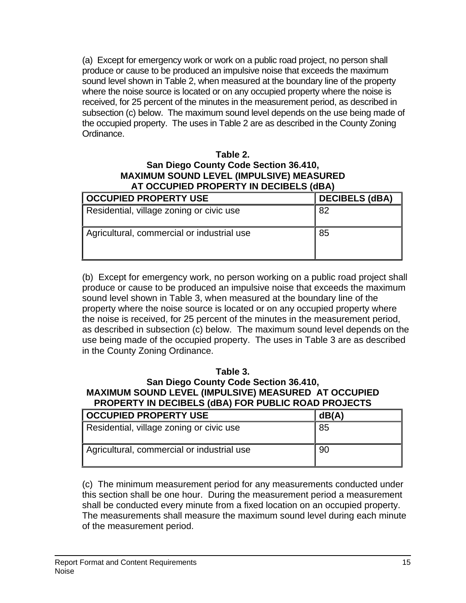(a) Except for emergency work or work on a public road project, no person shall produce or cause to be produced an impulsive noise that exceeds the maximum sound level shown in Table 2, when measured at the boundary line of the property where the noise source is located or on any occupied property where the noise is received, for 25 percent of the minutes in the measurement period, as described in subsection (c) below. The maximum sound level depends on the use being made of the occupied property. The uses in Table 2 are as described in the County Zoning Ordinance.

#### **Table 2. San Diego County Code Section 36.410, MAXIMUM SOUND LEVEL (IMPULSIVE) MEASURED AT OCCUPIED PROPERTY IN DECIBELS (dBA)**

| <b>OCCUPIED PROPERTY USE</b>               | <b>DECIBELS (dBA)</b> |
|--------------------------------------------|-----------------------|
| Residential, village zoning or civic use   | 82                    |
| Agricultural, commercial or industrial use | 85                    |

(b) Except for emergency work, no person working on a public road project shall produce or cause to be produced an impulsive noise that exceeds the maximum sound level shown in Table 3, when measured at the boundary line of the property where the noise source is located or on any occupied property where the noise is received, for 25 percent of the minutes in the measurement period, as described in subsection (c) below. The maximum sound level depends on the use being made of the occupied property. The uses in Table 3 are as described in the County Zoning Ordinance.

### **Table 3.**

#### **San Diego County Code Section 36.410, MAXIMUM SOUND LEVEL (IMPULSIVE) MEASURED AT OCCUPIED PROPERTY IN DECIBELS (dBA) FOR PUBLIC ROAD PROJECTS**

| <b>OCCUPIED PROPERTY USE</b>               | dB(A) |
|--------------------------------------------|-------|
| Residential, village zoning or civic use   | 85    |
| Agricultural, commercial or industrial use | 90    |

(c) The minimum measurement period for any measurements conducted under this section shall be one hour. During the measurement period a measurement shall be conducted every minute from a fixed location on an occupied property. The measurements shall measure the maximum sound level during each minute of the measurement period.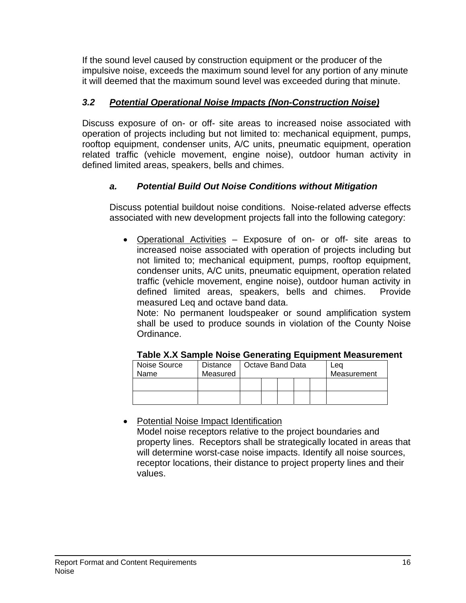If the sound level caused by construction equipment or the producer of the impulsive noise, exceeds the maximum sound level for any portion of any minute it will deemed that the maximum sound level was exceeded during that minute.

# *3.2 Potential Operational Noise Impacts (Non-Construction Noise)*

Discuss exposure of on- or off- site areas to increased noise associated with operation of projects including but not limited to: mechanical equipment, pumps, rooftop equipment, condenser units, A/C units, pneumatic equipment, operation related traffic (vehicle movement, engine noise), outdoor human activity in defined limited areas, speakers, bells and chimes.

# *a. Potential Build Out Noise Conditions without Mitigation*

Discuss potential buildout noise conditions. Noise-related adverse effects associated with new development projects fall into the following category:

• Operational Activities – Exposure of on- or off- site areas to increased noise associated with operation of projects including but not limited to; mechanical equipment, pumps, rooftop equipment, condenser units, A/C units, pneumatic equipment, operation related traffic (vehicle movement, engine noise), outdoor human activity in defined limited areas, speakers, bells and chimes. Provide measured Leq and octave band data.

Note: No permanent loudspeaker or sound amplification system shall be used to produce sounds in violation of the County Noise Ordinance.

| Noise Source | <b>Distance</b> | Octave Band Data |  |  | Lea         |  |  |
|--------------|-----------------|------------------|--|--|-------------|--|--|
| Name         | Measured        |                  |  |  | Measurement |  |  |
|              |                 |                  |  |  |             |  |  |
|              |                 |                  |  |  |             |  |  |
|              |                 |                  |  |  |             |  |  |

### **Table X.X Sample Noise Generating Equipment Measurement**

• Potential Noise Impact Identification

Model noise receptors relative to the project boundaries and property lines. Receptors shall be strategically located in areas that will determine worst-case noise impacts. Identify all noise sources, receptor locations, their distance to project property lines and their values.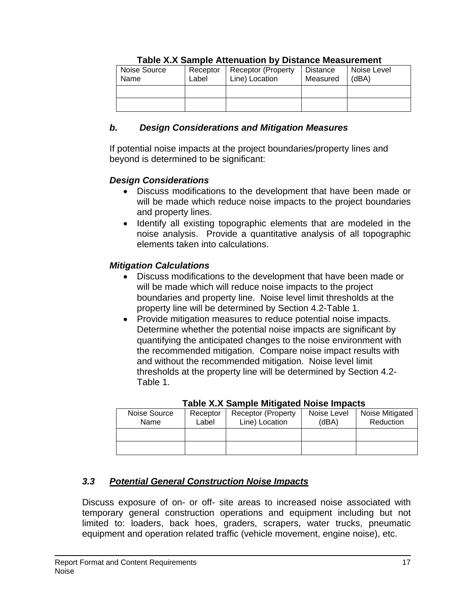| Noise Source<br>Name | Receptor<br>Label | <b>Receptor (Property</b><br>Line) Location | Distance<br>Measured | Noise Level<br>(dBA) |
|----------------------|-------------------|---------------------------------------------|----------------------|----------------------|
|                      |                   |                                             |                      |                      |
|                      |                   |                                             |                      |                      |

### **Table X.X Sample Attenuation by Distance Measurement**

### *b. Design Considerations and Mitigation Measures*

If potential noise impacts at the project boundaries/property lines and beyond is determined to be significant:

# *Design Considerations*

- Discuss modifications to the development that have been made or will be made which reduce noise impacts to the project boundaries and property lines.
- Identify all existing topographic elements that are modeled in the noise analysis. Provide a quantitative analysis of all topographic elements taken into calculations.

# *Mitigation Calculations*

- Discuss modifications to the development that have been made or will be made which will reduce noise impacts to the project boundaries and property line. Noise level limit thresholds at the property line will be determined by Section 4.2-Table 1.
- Provide mitigation measures to reduce potential noise impacts. Determine whether the potential noise impacts are significant by quantifying the anticipated changes to the noise environment with the recommended mitigation. Compare noise impact results with and without the recommended mitigation. Noise level limit thresholds at the property line will be determined by Section 4.2- Table 1.

| Noise Source<br>Name | Receptor<br>Label | <b>Receptor (Property)</b><br>Line) Location | Noise Level<br>(dBA) | Noise Mitigated<br>Reduction |
|----------------------|-------------------|----------------------------------------------|----------------------|------------------------------|
|                      |                   |                                              |                      |                              |
|                      |                   |                                              |                      |                              |

### **Table X.X Sample Mitigated Noise Impacts**

# *3.3 Potential General Construction Noise Impacts*

Discuss exposure of on- or off- site areas to increased noise associated with temporary general construction operations and equipment including but not limited to: loaders, back hoes, graders, scrapers, water trucks, pneumatic equipment and operation related traffic (vehicle movement, engine noise), etc.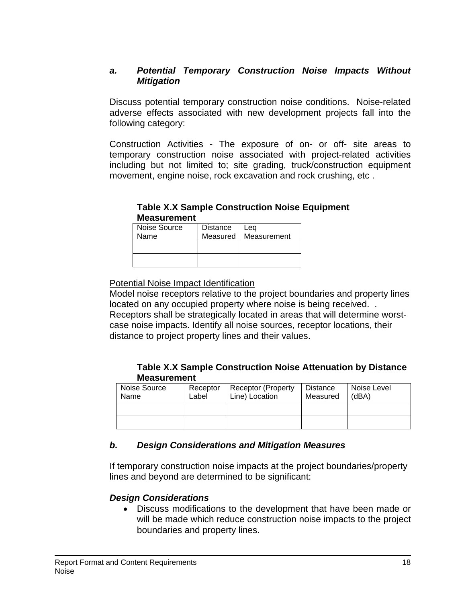### *a. Potential Temporary Construction Noise Impacts Without Mitigation*

Discuss potential temporary construction noise conditions. Noise-related adverse effects associated with new development projects fall into the following category:

Construction Activities - The exposure of on- or off- site areas to temporary construction noise associated with project-related activities including but not limited to; site grading, truck/construction equipment movement, engine noise, rock excavation and rock crushing, etc .

### **Table X.X Sample Construction Noise Equipment Measurement**

| Noise Source | <b>Distance</b> | Lea                    |
|--------------|-----------------|------------------------|
| Name         |                 | Measured   Measurement |
|              |                 |                        |
|              |                 |                        |
|              |                 |                        |
|              |                 |                        |

Potential Noise Impact Identification

Model noise receptors relative to the project boundaries and property lines located on any occupied property where noise is being received. . Receptors shall be strategically located in areas that will determine worstcase noise impacts. Identify all noise sources, receptor locations, their distance to project property lines and their values.

### **Table X.X Sample Construction Noise Attenuation by Distance Measurement**

| Noise Source<br>Name | Receptor<br>Label | <b>Receptor (Property</b><br>Line) Location | Distance<br>Measured | Noise Level<br>(dBA) |
|----------------------|-------------------|---------------------------------------------|----------------------|----------------------|
|                      |                   |                                             |                      |                      |
|                      |                   |                                             |                      |                      |

# *b. Design Considerations and Mitigation Measures*

If temporary construction noise impacts at the project boundaries/property lines and beyond are determined to be significant:

# *Design Considerations*

• Discuss modifications to the development that have been made or will be made which reduce construction noise impacts to the project boundaries and property lines.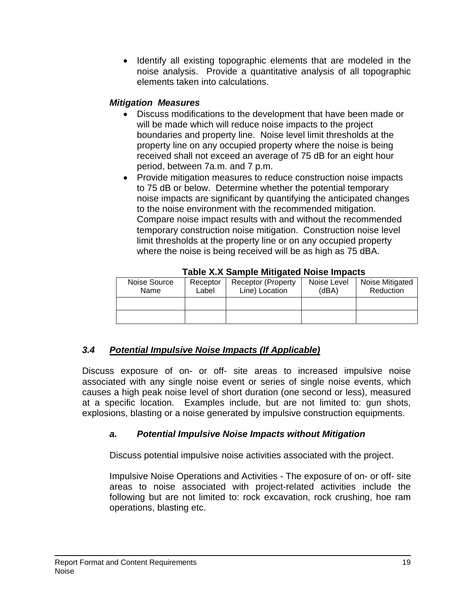• Identify all existing topographic elements that are modeled in the noise analysis. Provide a quantitative analysis of all topographic elements taken into calculations.

# *Mitigation Measures*

- Discuss modifications to the development that have been made or will be made which will reduce noise impacts to the project boundaries and property line. Noise level limit thresholds at the property line on any occupied property where the noise is being received shall not exceed an average of 75 dB for an eight hour period, between 7a.m. and 7 p.m.
- Provide mitigation measures to reduce construction noise impacts to 75 dB or below. Determine whether the potential temporary noise impacts are significant by quantifying the anticipated changes to the noise environment with the recommended mitigation. Compare noise impact results with and without the recommended temporary construction noise mitigation. Construction noise level limit thresholds at the property line or on any occupied property where the noise is being received will be as high as 75 dBA.

| Lable A.A Odilible Milligated Noise Illibacts |                   |                                              |                      |                              |  |
|-----------------------------------------------|-------------------|----------------------------------------------|----------------------|------------------------------|--|
| Noise Source<br>Name                          | Receptor<br>Label | <b>Receptor (Property)</b><br>Line) Location | Noise Level<br>(dBA) | Noise Mitigated<br>Reduction |  |
|                                               |                   |                                              |                      |                              |  |
|                                               |                   |                                              |                      |                              |  |

**Table X.X Sample Mitigated Noise Impacts** 

# *3.4 Potential Impulsive Noise Impacts (If Applicable)*

Discuss exposure of on- or off- site areas to increased impulsive noise associated with any single noise event or series of single noise events, which causes a high peak noise level of short duration (one second or less), measured at a specific location. Examples include, but are not limited to: gun shots, explosions, blasting or a noise generated by impulsive construction equipments.

# *a. Potential Impulsive Noise Impacts without Mitigation*

Discuss potential impulsive noise activities associated with the project.

Impulsive Noise Operations and Activities - The exposure of on- or off- site areas to noise associated with project-related activities include the following but are not limited to: rock excavation, rock crushing, hoe ram operations, blasting etc.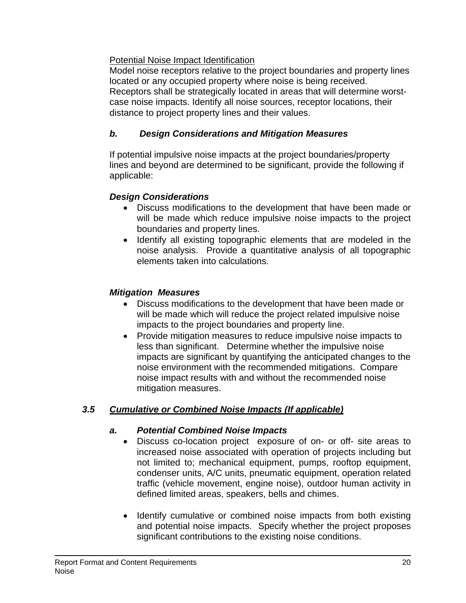# Potential Noise Impact Identification

Model noise receptors relative to the project boundaries and property lines located or any occupied property where noise is being received. Receptors shall be strategically located in areas that will determine worstcase noise impacts. Identify all noise sources, receptor locations, their distance to project property lines and their values.

# *b. Design Considerations and Mitigation Measures*

If potential impulsive noise impacts at the project boundaries/property lines and beyond are determined to be significant, provide the following if applicable:

# *Design Considerations*

- Discuss modifications to the development that have been made or will be made which reduce impulsive noise impacts to the project boundaries and property lines.
- Identify all existing topographic elements that are modeled in the noise analysis. Provide a quantitative analysis of all topographic elements taken into calculations.

# *Mitigation Measures*

- Discuss modifications to the development that have been made or will be made which will reduce the project related impulsive noise impacts to the project boundaries and property line.
- Provide mitigation measures to reduce impulsive noise impacts to less than significant. Determine whether the impulsive noise impacts are significant by quantifying the anticipated changes to the noise environment with the recommended mitigations. Compare noise impact results with and without the recommended noise mitigation measures.

# *3.5 Cumulative or Combined Noise Impacts (If applicable)*

# *a. Potential Combined Noise Impacts*

- Discuss co-location project exposure of on- or off- site areas to increased noise associated with operation of projects including but not limited to; mechanical equipment, pumps, rooftop equipment, condenser units, A/C units, pneumatic equipment, operation related traffic (vehicle movement, engine noise), outdoor human activity in defined limited areas, speakers, bells and chimes.
- Identify cumulative or combined noise impacts from both existing and potential noise impacts. Specify whether the project proposes significant contributions to the existing noise conditions.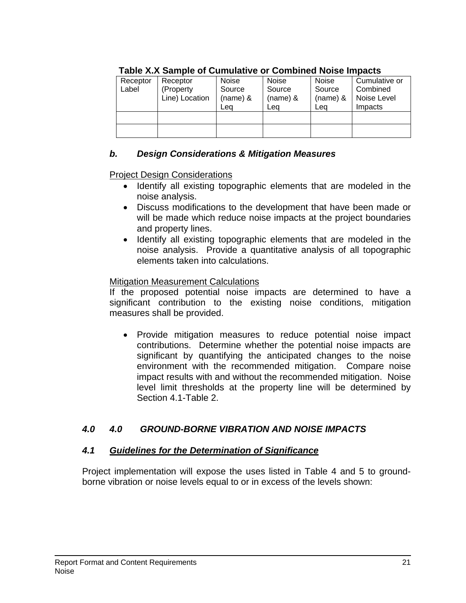| ,,,,,,,,,,,,,,,,,,,,,,,,,,,,, |                |          |            |            |               |
|-------------------------------|----------------|----------|------------|------------|---------------|
| Receptor                      | Receptor       | Noise    | Noise      | Noise      | Cumulative or |
| Label                         | (Property      | Source   | Source     | Source     | Combined      |
|                               | Line) Location | (name) & | $(name)$ & | $(name)$ & | Noise Level   |
|                               |                | Lea      | Lea        | Lea        | Impacts       |
|                               |                |          |            |            |               |
|                               |                |          |            |            |               |
|                               |                |          |            |            |               |

# **Table X.X Sample of Cumulative or Combined Noise Impacts**

# *b. Design Considerations & Mitigation Measures*

# Project Design Considerations

- Identify all existing topographic elements that are modeled in the noise analysis.
- Discuss modifications to the development that have been made or will be made which reduce noise impacts at the project boundaries and property lines.
- Identify all existing topographic elements that are modeled in the noise analysis. Provide a quantitative analysis of all topographic elements taken into calculations.

# Mitigation Measurement Calculations

If the proposed potential noise impacts are determined to have a significant contribution to the existing noise conditions, mitigation measures shall be provided.

• Provide mitigation measures to reduce potential noise impact contributions. Determine whether the potential noise impacts are significant by quantifying the anticipated changes to the noise environment with the recommended mitigation. Compare noise impact results with and without the recommended mitigation. Noise level limit thresholds at the property line will be determined by Section 4.1-Table 2.

# *4.0 4.0 GROUND-BORNE VIBRATION AND NOISE IMPACTS*

### *4.1 Guidelines for the Determination of Significance*

Project implementation will expose the uses listed in Table 4 and 5 to groundborne vibration or noise levels equal to or in excess of the levels shown: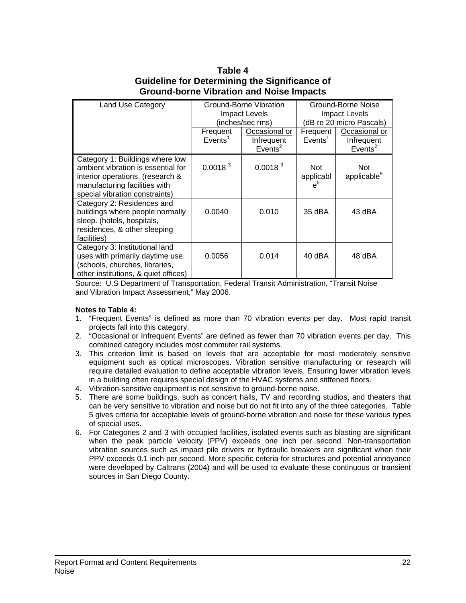#### **Table 4 Guideline for Determining the Significance of Ground-borne Vibration and Noise Impacts**

| <b>Land Use Category</b>                                                                                                                                                     | <b>Ground-Borne Vibration</b><br><b>Impact Levels</b><br>(inches/sec rms) |                                                    | Ground-Borne Noise<br><b>Impact Levels</b><br>(dB re 20 micro Pascals) |                                                    |
|------------------------------------------------------------------------------------------------------------------------------------------------------------------------------|---------------------------------------------------------------------------|----------------------------------------------------|------------------------------------------------------------------------|----------------------------------------------------|
|                                                                                                                                                                              | Frequent<br>Events <sup>1</sup>                                           | Occasional or<br>Infrequent<br>Events <sup>2</sup> | Frequent<br>Events <sup>1</sup>                                        | Occasional or<br>Infrequent<br>Events <sup>2</sup> |
| Category 1: Buildings where low<br>ambient vibration is essential for<br>interior operations. (research &<br>manufacturing facilities with<br>special vibration constraints) | 0.0018 <sup>3</sup>                                                       | 0.0018 <sup>3</sup>                                | <b>Not</b><br>applicabl<br>$e^5$                                       | <b>Not</b><br>applicable <sup>5</sup>              |
| Category 2: Residences and<br>buildings where people normally<br>sleep. (hotels, hospitals,<br>residences, & other sleeping<br>facilities)                                   | 0.0040                                                                    | 0.010                                              | 35 dBA                                                                 | 43 dBA                                             |
| Category 3: Institutional land<br>uses with primarily daytime use.<br>(schools, churches, libraries,<br>other institutions, & quiet offices)                                 | 0.0056                                                                    | 0.014                                              | $40$ dBA                                                               | 48 dBA                                             |

Source: U.S Department of Transportation, Federal Transit Administration, "Transit Noise and Vibration Impact Assessment," May 2006.

#### **Notes to Table 4:**

- 1. "Frequent Events" is defined as more than 70 vibration events per day. Most rapid transit projects fall into this category.
- 2. "Occasional or Infrequent Events" are defined as fewer than 70 vibration events per day. This combined category includes most commuter rail systems.
- 3. This criterion limit is based on levels that are acceptable for most moderately sensitive equipment such as optical microscopes. Vibration sensitive manufacturing or research will require detailed evaluation to define acceptable vibration levels. Ensuring lower vibration levels in a building often requires special design of the HVAC systems and stiffened floors.
- 4. Vibration-sensitive equipment is not sensitive to ground-borne noise.
- 5. There are some buildings, such as concert halls, TV and recording studios, and theaters that can be very sensitive to vibration and noise but do not fit into any of the three categories. Table 5 gives criteria for acceptable levels of ground-borne vibration and noise for these various types of special uses.
- 6. For Categories 2 and 3 with occupied facilities, isolated events such as blasting are significant when the peak particle velocity (PPV) exceeds one inch per second. Non-transportation vibration sources such as impact pile drivers or hydraulic breakers are significant when their PPV exceeds 0.1 inch per second. More specific criteria for structures and potential annoyance were developed by Caltrans (2004) and will be used to evaluate these continuous or transient sources in San Diego County.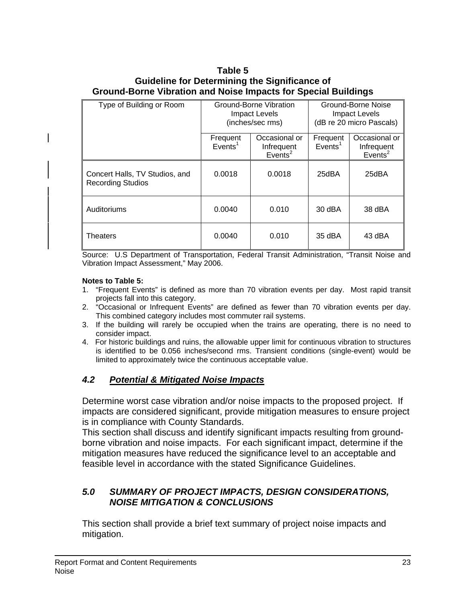### **Table 5 Guideline for Determining the Significance of Ground-Borne Vibration and Noise Impacts for Special Buildings**

| Type of Building or Room                                   | Ground-Borne Vibration<br><b>Impact Levels</b><br>(inches/sec rms) |                                                    | Ground-Borne Noise<br><b>Impact Levels</b><br>(dB re 20 micro Pascals) |                                                    |
|------------------------------------------------------------|--------------------------------------------------------------------|----------------------------------------------------|------------------------------------------------------------------------|----------------------------------------------------|
|                                                            | Frequent<br>$E$ vents <sup>1</sup>                                 | Occasional or<br>Infrequent<br>Events <sup>2</sup> | Frequent<br>Events <sup>1</sup>                                        | Occasional or<br>Infrequent<br>Events <sup>2</sup> |
| Concert Halls, TV Studios, and<br><b>Recording Studios</b> | 0.0018                                                             | 0.0018                                             | 25dBA                                                                  | 25dBA                                              |
| Auditoriums                                                | 0.0040                                                             | 0.010                                              | 30 dBA                                                                 | 38 dBA                                             |
| <b>Theaters</b>                                            | 0.0040                                                             | 0.010                                              | 35 dBA                                                                 | 43 dBA                                             |

Source: U.S Department of Transportation, Federal Transit Administration, "Transit Noise and Vibration Impact Assessment," May 2006.

#### **Notes to Table 5:**

- 1. "Frequent Events" is defined as more than 70 vibration events per day. Most rapid transit projects fall into this category.
- 2. "Occasional or Infrequent Events" are defined as fewer than 70 vibration events per day. This combined category includes most commuter rail systems.
- 3. If the building will rarely be occupied when the trains are operating, there is no need to consider impact.
- 4. For historic buildings and ruins, the allowable upper limit for continuous vibration to structures is identified to be 0.056 inches/second rms. Transient conditions (single-event) would be limited to approximately twice the continuous acceptable value.

### *4.2 Potential & Mitigated Noise Impacts*

Determine worst case vibration and/or noise impacts to the proposed project. If impacts are considered significant, provide mitigation measures to ensure project is in compliance with County Standards.

This section shall discuss and identify significant impacts resulting from groundborne vibration and noise impacts. For each significant impact, determine if the mitigation measures have reduced the significance level to an acceptable and feasible level in accordance with the stated Significance Guidelines.

### *5.0 SUMMARY OF PROJECT IMPACTS, DESIGN CONSIDERATIONS, NOISE MITIGATION & CONCLUSIONS*

This section shall provide a brief text summary of project noise impacts and mitigation.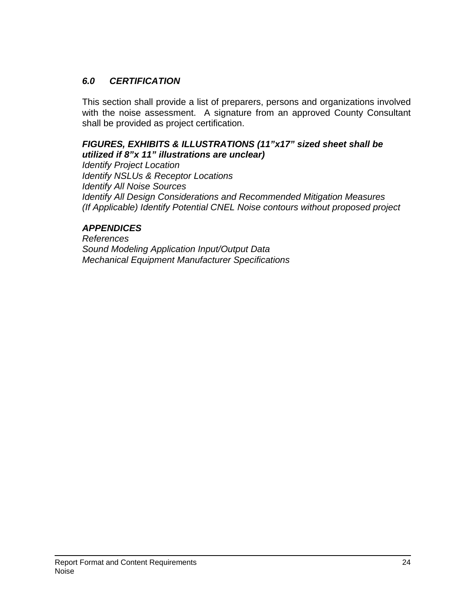# *6.0 CERTIFICATION*

This section shall provide a list of preparers, persons and organizations involved with the noise assessment. A signature from an approved County Consultant shall be provided as project certification.

### *FIGURES, EXHIBITS & ILLUSTRATIONS (11"x17" sized sheet shall be utilized if 8"x 11" illustrations are unclear)*

*Identify Project Location Identify NSLUs & Receptor Locations Identify All Noise Sources Identify All Design Considerations and Recommended Mitigation Measures (If Applicable) Identify Potential CNEL Noise contours without proposed project* 

# *APPENDICES*

*References Sound Modeling Application Input/Output Data Mechanical Equipment Manufacturer Specifications*